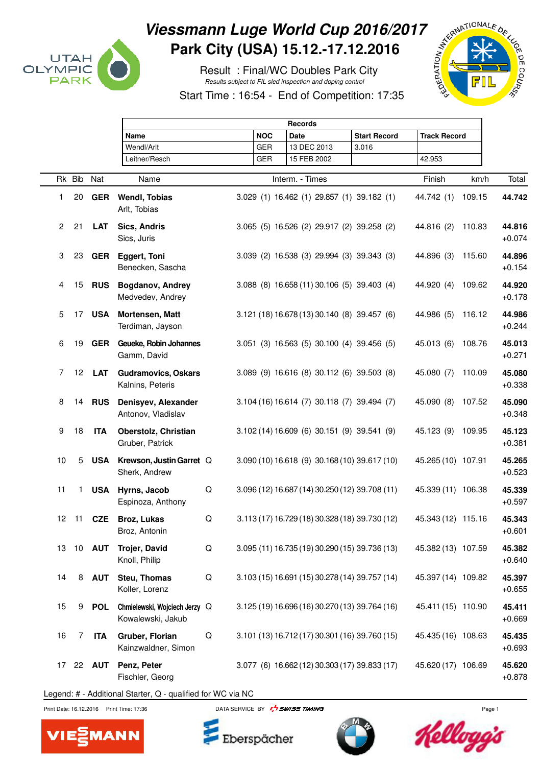

## Viessmann Luge World Cup 2016/2017<br>Park City (USA) 15.12.-17.12.2016<br>Result : Final/WC Doubles Park City<br>Start Time : 16:54 - End of Orleans (18:19) **Park City (USA) 15.12.-17.12.2016**

 Result : Final/WC Doubles Park City Results subject to FIL sled inspection and doping control

Start Time : 16:54 - End of Competition: 17:35



|                 |                 |               | <b>Records</b>                                     |   |                 |                                                |                     |                     |        |                    |
|-----------------|-----------------|---------------|----------------------------------------------------|---|-----------------|------------------------------------------------|---------------------|---------------------|--------|--------------------|
|                 |                 |               | Name                                               |   | <b>NOC</b>      | <b>Date</b>                                    | <b>Start Record</b> | <b>Track Record</b> |        |                    |
|                 |                 |               | Wendl/Arlt                                         |   | <b>GER</b>      | 13 DEC 2013                                    | 3.016               |                     |        |                    |
|                 |                 |               | Leitner/Resch                                      |   | <b>GER</b>      | 15 FEB 2002                                    |                     | 42.953              |        |                    |
|                 | Rk Bib          | Nat           | Name                                               |   | Interm. - Times |                                                |                     |                     | km/h   | Total              |
| 1               | 20              | <b>GER</b>    | <b>Wendl, Tobias</b><br>Arlt, Tobias               |   |                 | 3.029 (1) 16.462 (1) 29.857 (1) 39.182 (1)     |                     | 44.742 (1)          | 109.15 | 44.742             |
| $\overline{2}$  | 21              | <b>LAT</b>    | Sics, Andris<br>Sics, Juris                        |   |                 | 3.065 (5) 16.526 (2) 29.917 (2) 39.258 (2)     |                     | 44.816 (2)          | 110.83 | 44.816<br>$+0.074$ |
| 3               | 23              | <b>GER</b>    | <b>Eggert, Toni</b><br>Benecken, Sascha            |   |                 | 3.039 (2) 16.538 (3) 29.994 (3) 39.343 (3)     |                     | 44.896 (3)          | 115.60 | 44.896<br>$+0.154$ |
| 4               | 15              | <b>RUS</b>    | Bogdanov, Andrey<br>Medvedev, Andrey               |   |                 | 3.088 (8) 16.658 (11) 30.106 (5) 39.403 (4)    |                     | 44.920 (4)          | 109.62 | 44.920<br>$+0.178$ |
| 5               | 17              | <b>USA</b>    | Mortensen, Matt<br>Terdiman, Jayson                |   |                 | 3.121 (18) 16.678 (13) 30.140 (8) 39.457 (6)   |                     | 44.986 (5)          | 116.12 | 44.986<br>$+0.244$ |
| 6               | 19              | <b>GER</b>    | Geueke, Robin Johannes<br>Gamm, David              |   |                 | 3.051 (3) 16.563 (5) 30.100 (4) 39.456 (5)     |                     | 45.013 (6)          | 108.76 | 45.013<br>$+0.271$ |
| $\overline{7}$  | 12 <sup>2</sup> | <b>LAT</b>    | <b>Gudramovics, Oskars</b><br>Kalnins, Peteris     |   |                 | 3.089 (9) 16.616 (8) 30.112 (6) 39.503 (8)     |                     | 45.080 (7)          | 110.09 | 45.080<br>$+0.338$ |
| 8               | 14              | <b>RUS</b>    | Denisyev, Alexander<br>Antonov, Vladislav          |   |                 | 3.104 (16) 16.614 (7) 30.118 (7) 39.494 (7)    |                     | 45.090 (8)          | 107.52 | 45.090<br>$+0.348$ |
| 9               | 18              | <b>ITA</b>    | Oberstolz, Christian<br>Gruber, Patrick            |   |                 | 3.102 (14) 16.609 (6) 30.151 (9) 39.541 (9)    |                     | 45.123 (9)          | 109.95 | 45.123<br>$+0.381$ |
| 10              | 5               | <b>USA</b>    | Krewson, Justin Garret Q<br>Sherk, Andrew          |   |                 | 3.090 (10) 16.618 (9) 30.168 (10) 39.617 (10)  |                     | 45.265 (10) 107.91  |        | 45.265<br>$+0.523$ |
| 11              | $\mathbf{1}$    | <b>USA</b>    | Hyrns, Jacob<br>Espinoza, Anthony                  | Q |                 | 3.096 (12) 16.687 (14) 30.250 (12) 39.708 (11) |                     | 45.339 (11) 106.38  |        | 45.339<br>$+0.597$ |
| 12 <sup>2</sup> | $-11$           | <b>CZE</b>    | Broz, Lukas<br>Broz, Antonin                       | Q |                 | 3.113 (17) 16.729 (18) 30.328 (18) 39.730 (12) |                     | 45.343 (12) 115.16  |        | 45.343<br>$+0.601$ |
| 13              | 10              | <b>AUT</b>    | <b>Trojer, David</b><br>Knoll, Philip              | Q |                 | 3.095 (11) 16.735 (19) 30.290 (15) 39.736 (13) |                     | 45.382 (13) 107.59  |        | 45.382<br>$+0.640$ |
| 14              | 8               | <b>AUT</b>    | Steu, Thomas<br>Koller, Lorenz                     | Q |                 | 3.103 (15) 16.691 (15) 30.278 (14) 39.757 (14) |                     | 45.397 (14) 109.82  |        | 45.397<br>$+0.655$ |
| 15              | 9               | <b>POL</b>    | Chmielewski, Wojciech Jerzy Q<br>Kowalewski, Jakub |   |                 | 3.125 (19) 16.696 (16) 30.270 (13) 39.764 (16) |                     | 45.411 (15) 110.90  |        | 45.411<br>$+0.669$ |
| 16              | 7               | <b>ITA</b>    | Gruber, Florian<br>Kainzwaldner, Simon             | Q |                 | 3.101 (13) 16.712 (17) 30.301 (16) 39.760 (15) |                     | 45.435 (16) 108.63  |        | 45.435<br>$+0.693$ |
| 17              |                 | 22 <b>AUT</b> | Penz, Peter<br>Fischler, Georg                     |   |                 | 3.077 (6) 16.662 (12) 30.303 (17) 39.833 (17)  |                     | 45.620 (17) 106.69  |        | 45.620<br>$+0.878$ |

Legend: # - Additional Starter, Q - qualified for WC via NC

**MANN** 



Eberspächer